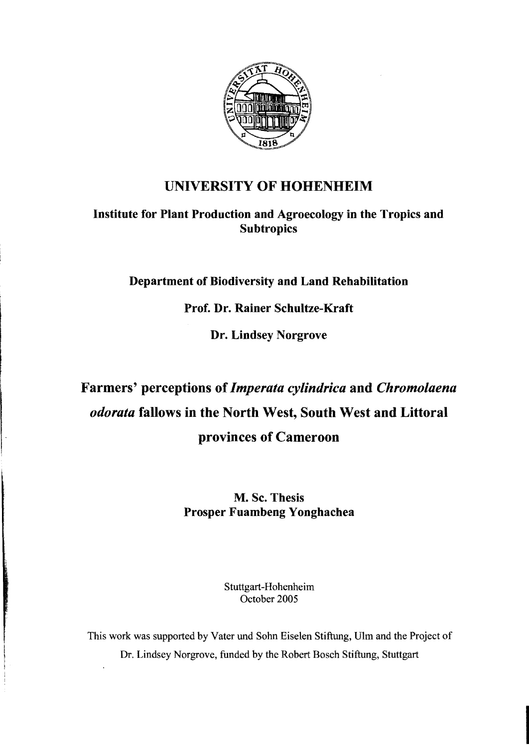

## UNIVERSITY OF HOHENHEIM

Institute for Plant Production and Agroecology in the Tropics and **Subtropics** 

Department of Biodiversity and Land Rehabilitation

Prof. Dr. Rainer Schultze-Kraft

Dr. Lindsey Norgrove

## Farmers' perceptions of*Imperata cylindrica* and *Chromolaena odorata* fallows in the North West, South West and Littoral provinces of Cameroon

M. Sc. Thesis Prosper Fuambeng Yonghachea

> Stuttgart-Hohenheirn October 2005

This work was supported by Vater und Sohn Eiselen Stiftung, Ulm and the Project of Dr. Lindsey Norgrove, funded by the Robert Bosch Stiftung, Stuttgart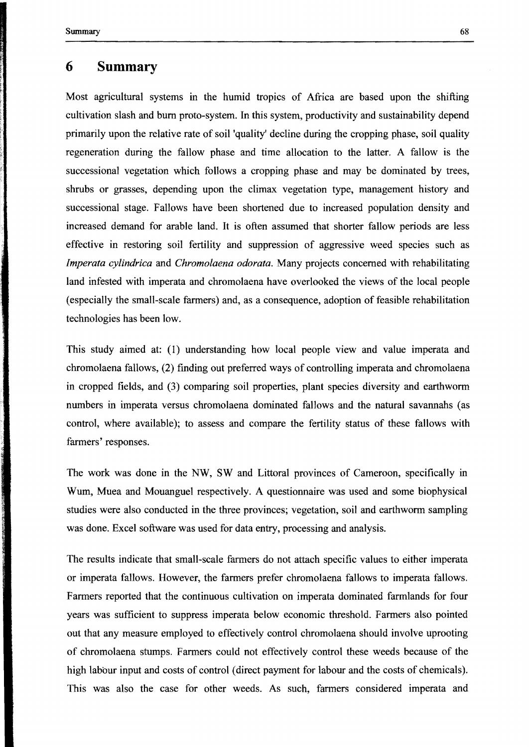## **6 Summary**

Most agricultural systems in the humid tropics of Africa are based upon the shifting cultivation slash and bum proto-system. In this system, productivity and sustainability depend primarily upon the relative rate of soil 'quality' decline during the cropping phase, soil quality regeneration during the fallow phase and time allocation to the latter. A fallow is the successional vegetation which follows a cropping phase and may be dominated by trees, shrubs or grasses, depending upon the climax vegetation type, management history and successional stage. Fallows have been shortened due to increased population density and increased demand for arable land. It is often assumed that shorter fallow periods are less effective in restoring soil fertility and suppression of aggressive weed species such as *Imperata cylindrica* and *Chromolaena odorata*. Many projects concerned with rehabilitating land infested with imperata and chromolaena have overlooked the views of the local people (especially the small-scale farmers) and, as a consequence, adoption of feasible rehabilitation technologies has been low.

This study aimed at: (1) understanding how Iocal people view and value imperata and chromolaena fallows, (2) finding out preferred ways of controlling imperata and chromolaena in cropped fields, and (3) comparing soil properties, plant species diversity and earthworm numbers in imperata versus chromolaena dominated fallows and the natural savannahs (as control, where available); to assess and compare the fertility status of these fallows with farmers' responses.

The work was done in the NW, SW and Littoral provinces of Cameroon, specifically in Wum, Muea and Mouanguel respectively. A questionnaire was used and some biophysical studies were also conducted in the three provinces; vegetation, soil and earthworm sampling was done. Excel software was used for data entry, processing and analysis.

The results indicate that small-scale farmers do not attach specific values to either imperata or imperata fallows. However, the farmers prefer chromolaena fallows to imperata fallows. Farmers reported that the continuous cultivation on imperata dominated farmlands for four years was sufficient to suppress imperata below economic threshold. Farmers also pointed out that any measure employed to effectively control chromolaena should involve uprooting of chromolaena stumps. Farmers could not effectively control these weeds because of the high labour input and costs of control (direct payment for labour and the costs of chemicals). This was also the case for other weeds. As such, farmers considered imperata and